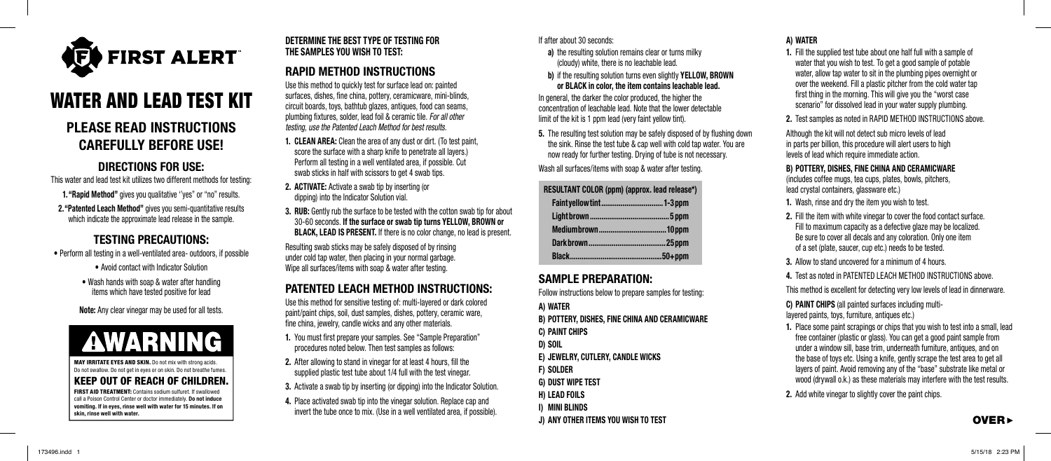

# WATER AND LEAD TEST KIT

# PLEASE READ INSTRUCTIONS CAREFULLY BEFORE USE!

## DIRECTIONS FOR USE:

This water and lead test kit utilizes two different methods for testing: 1. "Rapid Method" gives you qualitative "yes" or "no" results. 2. "Patented Leach Method" gives you semi-quantitative results which indicate the approximate lead release in the sample.

# TESTING PRECAUTIONS:

• Perform all testing in a well-ventilated area- outdoors, if possible

• Avoid contact with Indicator Solution

• Wash hands with soap & water after handling items which have tested positive for lead

Note: Any clear vinegar may be used for all tests.



MAY IRRITATE EYES AND SKIN. Do not mix with strong acids. Do not swallow. Do not get in eyes or on skin. Do not breathe fumes.

#### KEEP OUT OF REACH OF CHILDREN. FIRST AID TREATMENT: Contains sodium sulfuret. If swallowed call a Poison Control Center or doctor immediately. Do not induce vomiting. If in eyes, rinse well with water for 15 minutes. If on

skin, rinse well with water.

### DETERMINE THE BEST TYPE OF TESTING FOR THE SAMPLES YOU WISH TO TEST:

# RAPID METHOD INSTRUCTIONS

Use this method to quickly test for surface lead on: painted surfaces, dishes, fine china, pottery, ceramicware, mini-blinds, circuit boards, toys, bathtub glazes, antiques, food can seams, plumbing fixtures, solder, lead foil & ceramic tile. *For all other testing, use the Patented Leach Method for best results.*

- 1. CLEAN AREA: Clean the area of any dust or dirt. (To test paint, score the surface with a sharp knife to penetrate all layers.) Perform all testing in a well ventilated area, if possible. Cut swab sticks in half with scissors to get 4 swab tips.
- 2. ACTIVATE: Activate a swab tip by inserting (or dipping) into the Indicator Solution vial.
- 3. RUB: Gently rub the surface to be tested with the cotton swab tip for about 30-60 seconds. If the surface or swab tip turns YELLOW, BROWN or BLACK, LEAD IS PRESENT. If there is no color change, no lead is present.

Resulting swab sticks may be safely disposed of by rinsing under cold tap water, then placing in your normal garbage. Wipe all surfaces/items with soap & water after testing.

# PATENTED LEACH METHOD INSTRUCTIONS:

Use this method for sensitive testing of: multi-layered or dark colored paint/paint chips, soil, dust samples, dishes, pottery, ceramic ware, fine china, jewelry, candle wicks and any other materials.

- 1. You must first prepare your samples. See "Sample Preparation" procedures noted below. Then test samples as follows:
- 2. After allowing to stand in vinegar for at least 4 hours, fill the supplied plastic test tube about 1/4 full with the test vinegar.
- 3. Activate a swab tip by inserting (or dipping) into the Indicator Solution.
- 4. Place activated swab tip into the vinegar solution. Replace cap and invert the tube once to mix. (Use in a well ventilated area, if possible).

#### If after about 30 seconds:

- a) the resulting solution remains clear or turns milky (cloudy) white, there is no leachable lead.
- b) if the resulting solution turns even slightly YELLOW, BROWN or BLACK in color, the item contains leachable lead.

In general, the darker the color produced, the higher the concentration of leachable lead. Note that the lower detectable limit of the kit is 1 ppm lead (very faint yellow tint).

5. The resulting test solution may be safely disposed of by flushing down the sink. Rinse the test tube & cap well with cold tap water. You are now ready for further testing. Drying of tube is not necessary.

Wash all surfaces/items with soap & water after testing.

### RESULTANT COLOR (ppm) (approx. lead release\*) Faint yellow tint ................................ 1-3 ppm Light brown ......................................... 5 ppm Medium brown ................................... 10 ppm

# SAMPLE PREPARATION:

Follow instructions below to prepare samples for testing:

A) WATER B) POTTERY, DISHES, FINE CHINA AND CERAMICWARE C) PAINT CHIPS

- D) SOIL
- E) JEWELRY, CUTLERY, CANDLE WICKS
- F) SOLDER
- G) DUST WIPE TEST
- H) LEAD FOILS
- I) MINI BLINDS

### A) WATER

- 1. Fill the supplied test tube about one half full with a sample of water that you wish to test. To get a good sample of potable water, allow tap water to sit in the plumbing pipes overnight or over the weekend. Fill a plastic pitcher from the cold water tap first thing in the morning. This will give you the "worst case scenario" for dissolved lead in your water supply plumbing.
- 2. Test samples as noted in RAPID METHOD INSTRUCTIONS above.

Although the kit will not detect sub micro levels of lead in parts per billion, this procedure will alert users to high levels of lead which require immediate action.

#### B) POTTERY, DISHES, FINE CHINA AND CERAMICWARE

(includes coffee mugs, tea cups, plates, bowls, pitchers, lead crystal containers, glassware etc.)

- 1. Wash, rinse and dry the item you wish to test.
- 2. Fill the item with white vinegar to cover the food contact surface. Fill to maximum capacity as a defective glaze may be localized. Be sure to cover all decals and any coloration. Only one item of a set (plate, saucer, cup etc.) needs to be tested.
- 3. Allow to stand uncovered for a minimum of 4 hours.
- 4. Test as noted in PATENTED LEACH METHOD INSTRUCTIONS above.

This method is excellent for detecting very low levels of lead in dinnerware.

C) PAINT CHIPS (all painted surfaces including multilayered paints, toys, furniture, antiques etc.)

- 1. Place some paint scrapings or chips that you wish to test into a small, lead free container (plastic or glass). You can get a good paint sample from under a window sill, base trim, underneath furniture, antiques, and on the base of toys etc. Using a knife, gently scrape the test area to get all layers of paint. Avoid removing any of the "base" substrate like metal or wood (drywall o.k.) as these materials may interfere with the test results.
- 2. Add white vinegar to slightly cover the paint chips.